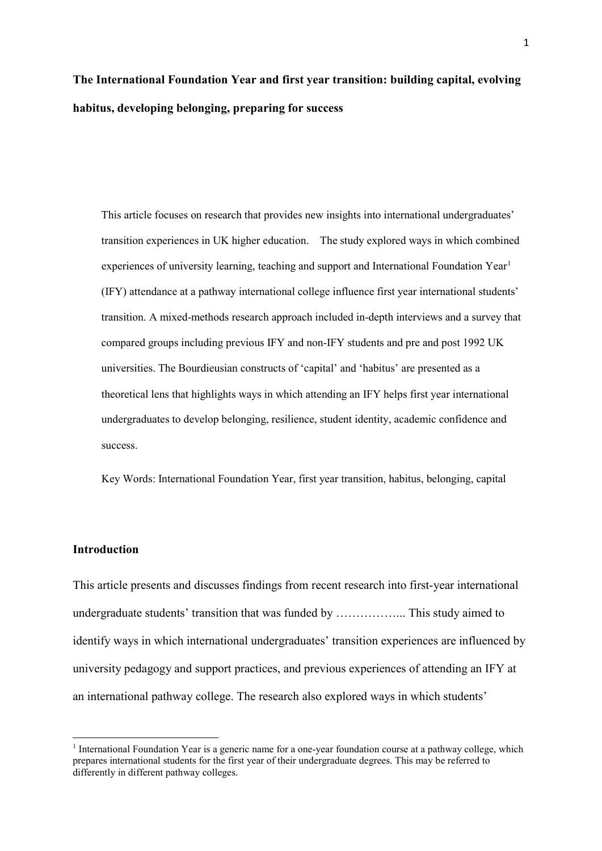# **The International Foundation Year and first year transition: building capital, evolving habitus, developing belonging, preparing for success**

This article focuses on research that provides new insights into international undergraduates' transition experiences in UK higher education. The study explored ways in which combined experiences of university learning, teaching and support and International Foundation Year<sup>[1](#page-0-0)</sup> (IFY) attendance at a pathway international college influence first year international students' transition. A mixed-methods research approach included in-depth interviews and a survey that compared groups including previous IFY and non-IFY students and pre and post 1992 UK universities. The Bourdieusian constructs of 'capital' and 'habitus' are presented as a theoretical lens that highlights ways in which attending an IFY helps first year international undergraduates to develop belonging, resilience, student identity, academic confidence and success.

Key Words: International Foundation Year, first year transition, habitus, belonging, capital

## **Introduction**

**.** 

This article presents and discusses findings from recent research into first-year international undergraduate students' transition that was funded by ……………... This study aimed to identify ways in which international undergraduates' transition experiences are influenced by university pedagogy and support practices, and previous experiences of attending an IFY at an international pathway college. The research also explored ways in which students'

<span id="page-0-0"></span><sup>&</sup>lt;sup>1</sup> International Foundation Year is a generic name for a one-year foundation course at a pathway college, which prepares international students for the first year of their undergraduate degrees. This may be referred to differently in different pathway colleges.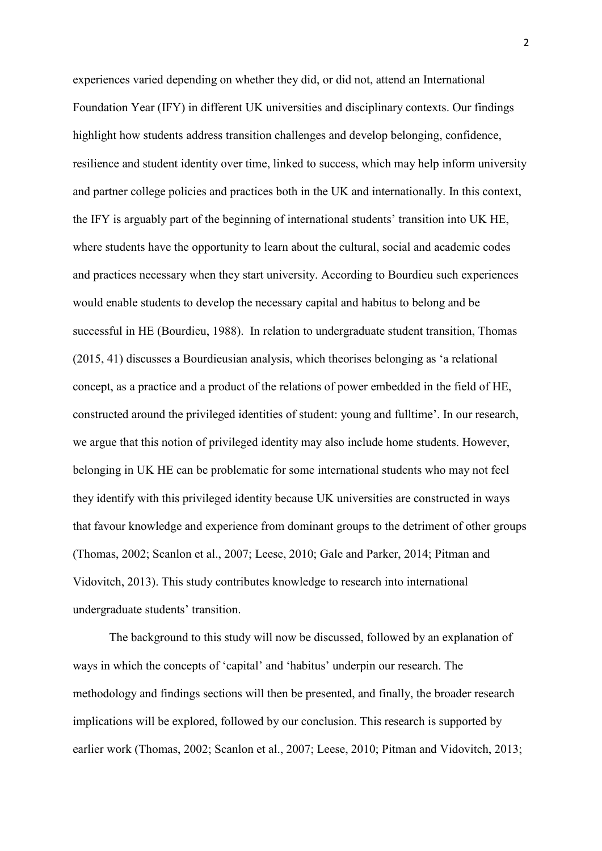experiences varied depending on whether they did, or did not, attend an International Foundation Year (IFY) in different UK universities and disciplinary contexts. Our findings highlight how students address transition challenges and develop belonging, confidence, resilience and student identity over time, linked to success, which may help inform university and partner college policies and practices both in the UK and internationally. In this context, the IFY is arguably part of the beginning of international students' transition into UK HE, where students have the opportunity to learn about the cultural, social and academic codes and practices necessary when they start university. According to Bourdieu such experiences would enable students to develop the necessary capital and habitus to belong and be successful in HE (Bourdieu, 1988). In relation to undergraduate student transition, Thomas (2015, 41) discusses a Bourdieusian analysis, which theorises belonging as 'a relational concept, as a practice and a product of the relations of power embedded in the field of HE, constructed around the privileged identities of student: young and fulltime'. In our research, we argue that this notion of privileged identity may also include home students. However, belonging in UK HE can be problematic for some international students who may not feel they identify with this privileged identity because UK universities are constructed in ways that favour knowledge and experience from dominant groups to the detriment of other groups (Thomas, 2002; Scanlon et al., 2007; Leese, 2010; Gale and Parker, 2014; Pitman and Vidovitch, 2013). This study contributes knowledge to research into international undergraduate students' transition.

The background to this study will now be discussed, followed by an explanation of ways in which the concepts of 'capital' and 'habitus' underpin our research. The methodology and findings sections will then be presented, and finally, the broader research implications will be explored, followed by our conclusion. This research is supported by earlier work (Thomas, 2002; Scanlon et al., 2007; Leese, 2010; Pitman and Vidovitch, 2013;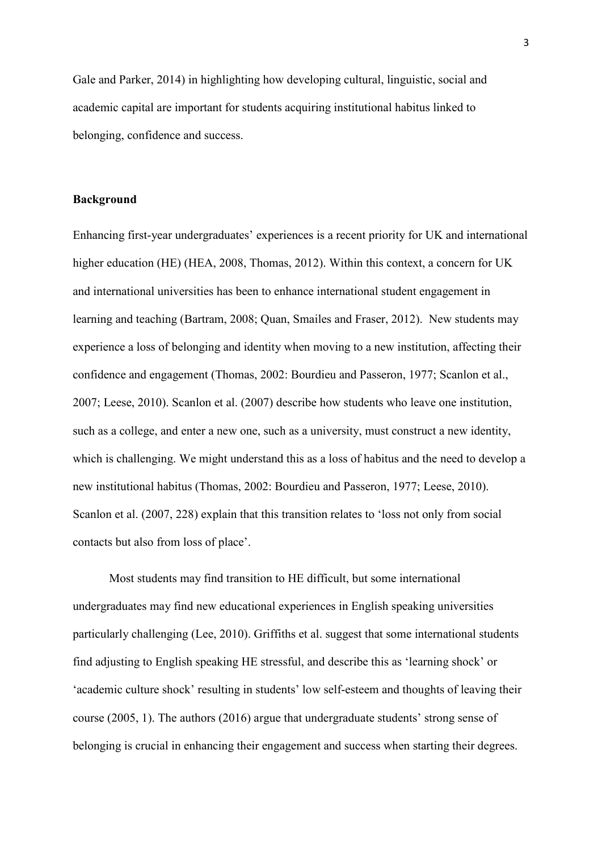Gale and Parker, 2014) in highlighting how developing cultural, linguistic, social and academic capital are important for students acquiring institutional habitus linked to belonging, confidence and success.

## **Background**

Enhancing first-year undergraduates' experiences is a recent priority for UK and international higher education (HE) (HEA, 2008, Thomas, 2012). Within this context, a concern for UK and international universities has been to enhance international student engagement in learning and teaching (Bartram, 2008; Quan, Smailes and Fraser, 2012). New students may experience a loss of belonging and identity when moving to a new institution, affecting their confidence and engagement (Thomas, 2002: Bourdieu and Passeron, 1977; Scanlon et al., 2007; Leese, 2010). Scanlon et al. (2007) describe how students who leave one institution, such as a college, and enter a new one, such as a university, must construct a new identity, which is challenging. We might understand this as a loss of habitus and the need to develop a new institutional habitus (Thomas, 2002: Bourdieu and Passeron, 1977; Leese, 2010). Scanlon et al. (2007, 228) explain that this transition relates to 'loss not only from social contacts but also from loss of place'.

Most students may find transition to HE difficult, but some international undergraduates may find new educational experiences in English speaking universities particularly challenging (Lee, 2010). Griffiths et al. suggest that some international students find adjusting to English speaking HE stressful, and describe this as 'learning shock' or 'academic culture shock' resulting in students' low self-esteem and thoughts of leaving their course (2005, 1). The authors (2016) argue that undergraduate students' strong sense of belonging is crucial in enhancing their engagement and success when starting their degrees.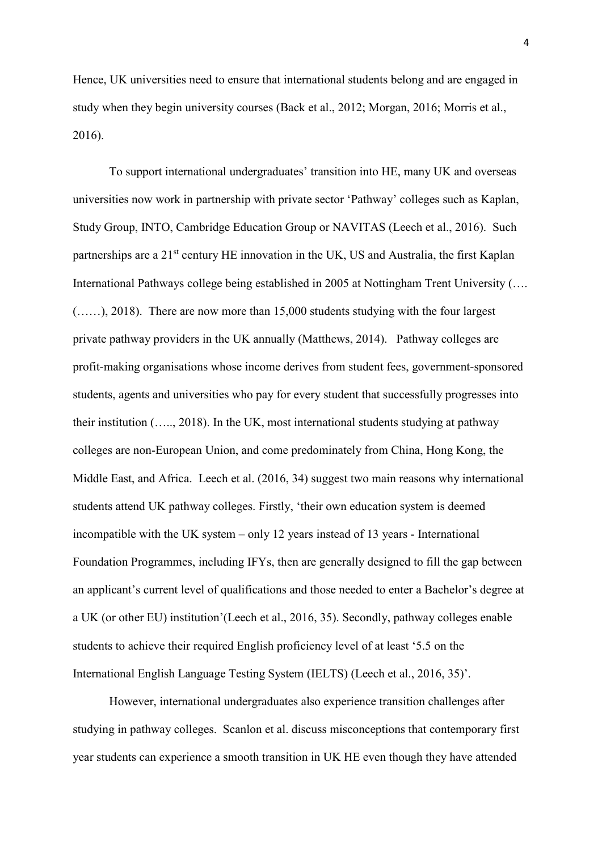Hence, UK universities need to ensure that international students belong and are engaged in study when they begin university courses (Back et al., 2012; Morgan, 2016; Morris et al., 2016).

To support international undergraduates' transition into HE, many UK and overseas universities now work in partnership with private sector 'Pathway' colleges such as Kaplan, Study Group, INTO, Cambridge Education Group or NAVITAS (Leech et al., 2016). Such partnerships are a 21<sup>st</sup> century HE innovation in the UK, US and Australia, the first Kaplan International Pathways college being established in 2005 at Nottingham Trent University (…. (……), 2018). There are now more than 15,000 students studying with the four largest private pathway providers in the UK annually (Matthews, 2014). Pathway colleges are profit-making organisations whose income derives from student fees, government-sponsored students, agents and universities who pay for every student that successfully progresses into their institution (….., 2018). In the UK, most international students studying at pathway colleges are non-European Union, and come predominately from China, Hong Kong, the Middle East, and Africa. Leech et al. (2016, 34) suggest two main reasons why international students attend UK pathway colleges. Firstly, 'their own education system is deemed incompatible with the UK system – only 12 years instead of 13 years - International Foundation Programmes, including IFYs, then are generally designed to fill the gap between an applicant's current level of qualifications and those needed to enter a Bachelor's degree at a UK (or other EU) institution'(Leech et al., 2016, 35). Secondly, pathway colleges enable students to achieve their required English proficiency level of at least '5.5 on the International English Language Testing System (IELTS) (Leech et al., 2016, 35)'.

However, international undergraduates also experience transition challenges after studying in pathway colleges. Scanlon et al. discuss misconceptions that contemporary first year students can experience a smooth transition in UK HE even though they have attended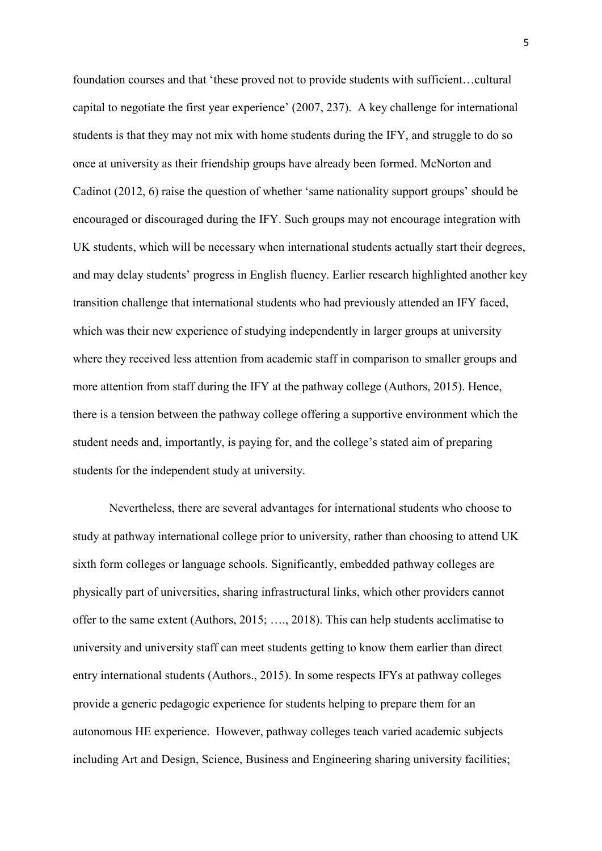foundation courses and that 'these proved not to provide students with sufficient…cultural capital to negotiate the first year experience' (2007, 237). A key challenge for international students is that they may not mix with home students during the IFY, and struggle to do so once at university as their friendship groups have already been formed. McNorton and Cadinot (2012, 6) raise the question of whether 'same nationality support groups' should be encouraged or discouraged during the IFY. Such groups may not encourage integration with UK students, which will be necessary when international students actually start their degrees, and may delay students' progress in English fluency. Earlier research highlighted another key transition challenge that international students who had previously attended an IFY faced, which was their new experience of studying independently in larger groups at university where they received less attention from academic staff in comparison to smaller groups and more attention from staff during the IFY at the pathway college (Authors, 2015). Hence, there is a tension between the pathway college offering a supportive environment which the student needs and, importantly, is paying for, and the college's stated aim of preparing students for the independent study at university.

Nevertheless, there are several advantages for international students who choose to study at pathway international college prior to university, rather than choosing to attend UK sixth form colleges or language schools. Significantly, embedded pathway colleges are physically part of universities, sharing infrastructural links, which other providers cannot offer to the same extent (Authors, 2015; …., 2018). This can help students acclimatise to university and university staff can meet students getting to know them earlier than direct entry international students (Authors., 2015). In some respects IFYs at pathway colleges provide a generic pedagogic experience for students helping to prepare them for an autonomous HE experience. However, pathway colleges teach varied academic subjects including Art and Design, Science, Business and Engineering sharing university facilities;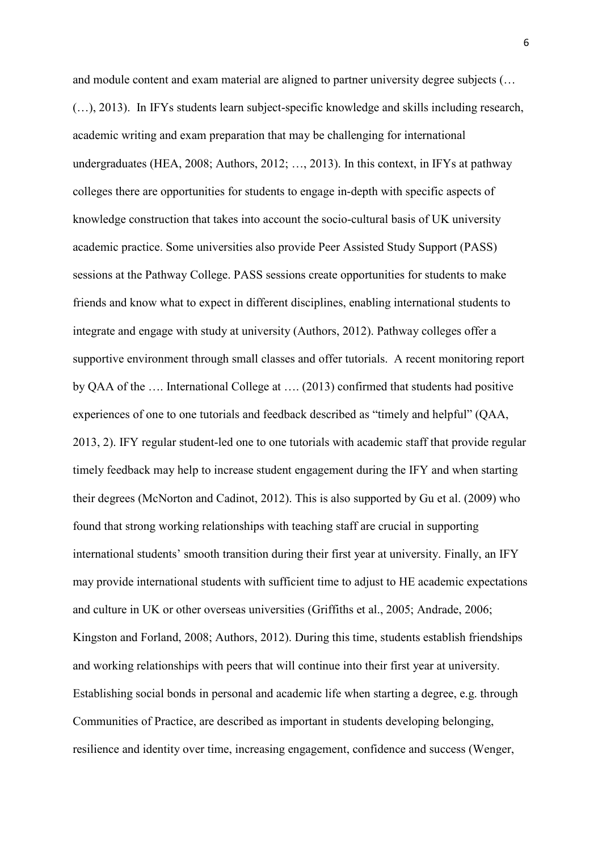and module content and exam material are aligned to partner university degree subjects (… (…), 2013). In IFYs students learn subject-specific knowledge and skills including research, academic writing and exam preparation that may be challenging for international undergraduates (HEA, 2008; Authors, 2012; …, 2013). In this context, in IFYs at pathway colleges there are opportunities for students to engage in-depth with specific aspects of knowledge construction that takes into account the socio-cultural basis of UK university academic practice. Some universities also provide Peer Assisted Study Support (PASS) sessions at the Pathway College. PASS sessions create opportunities for students to make friends and know what to expect in different disciplines, enabling international students to integrate and engage with study at university (Authors, 2012). Pathway colleges offer a supportive environment through small classes and offer tutorials. A recent monitoring report by QAA of the …. International College at …. (2013) confirmed that students had positive experiences of one to one tutorials and feedback described as "timely and helpful" (QAA, 2013, 2). IFY regular student-led one to one tutorials with academic staff that provide regular timely feedback may help to increase student engagement during the IFY and when starting their degrees (McNorton and Cadinot, 2012). This is also supported by Gu et al. (2009) who found that strong working relationships with teaching staff are crucial in supporting international students' smooth transition during their first year at university. Finally, an IFY may provide international students with sufficient time to adjust to HE academic expectations and culture in UK or other overseas universities (Griffiths et al., 2005; Andrade, 2006; Kingston and Forland, 2008; Authors, 2012). During this time, students establish friendships and working relationships with peers that will continue into their first year at university. Establishing social bonds in personal and academic life when starting a degree, e.g. through Communities of Practice, are described as important in students developing belonging, resilience and identity over time, increasing engagement, confidence and success (Wenger,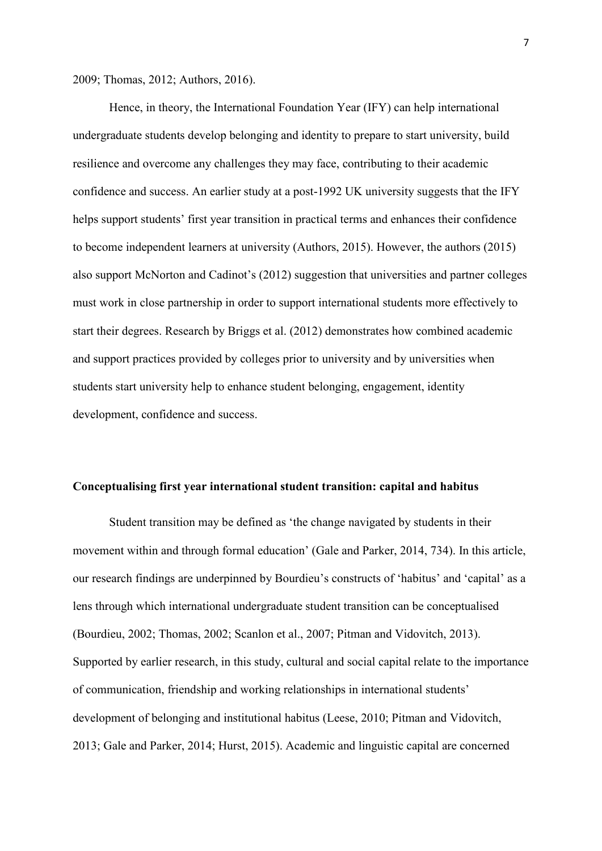2009; Thomas, 2012; Authors, 2016).

Hence, in theory, the International Foundation Year (IFY) can help international undergraduate students develop belonging and identity to prepare to start university, build resilience and overcome any challenges they may face, contributing to their academic confidence and success. An earlier study at a post-1992 UK university suggests that the IFY helps support students' first year transition in practical terms and enhances their confidence to become independent learners at university (Authors, 2015). However, the authors (2015) also support McNorton and Cadinot's (2012) suggestion that universities and partner colleges must work in close partnership in order to support international students more effectively to start their degrees. Research by Briggs et al. (2012) demonstrates how combined academic and support practices provided by colleges prior to university and by universities when students start university help to enhance student belonging, engagement, identity development, confidence and success.

#### **Conceptualising first year international student transition: capital and habitus**

Student transition may be defined as 'the change navigated by students in their movement within and through formal education' (Gale and Parker, 2014, 734). In this article, our research findings are underpinned by Bourdieu's constructs of 'habitus' and 'capital' as a lens through which international undergraduate student transition can be conceptualised (Bourdieu, 2002; Thomas, 2002; Scanlon et al., 2007; Pitman and Vidovitch, 2013). Supported by earlier research, in this study, cultural and social capital relate to the importance of communication, friendship and working relationships in international students' development of belonging and institutional habitus (Leese, 2010; Pitman and Vidovitch, 2013; Gale and Parker, 2014; Hurst, 2015). Academic and linguistic capital are concerned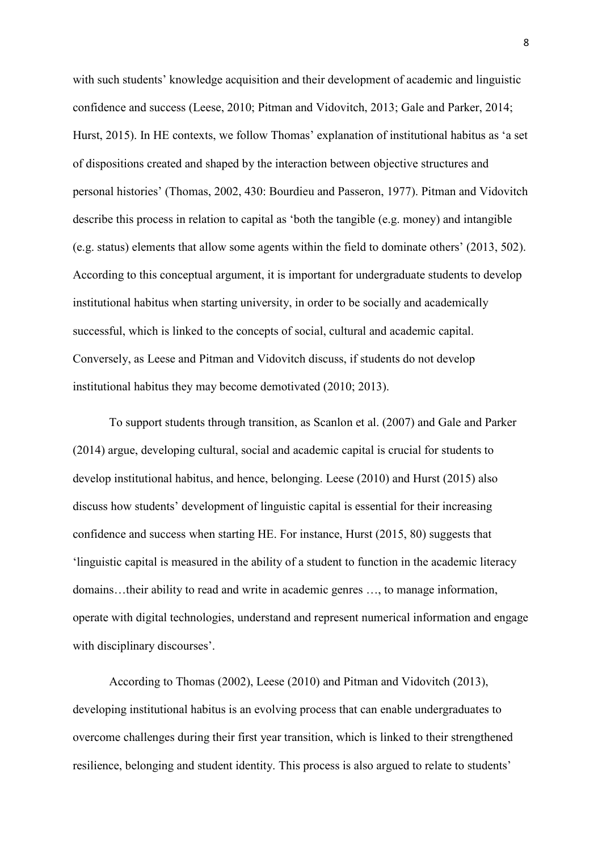with such students' knowledge acquisition and their development of academic and linguistic confidence and success (Leese, 2010; Pitman and Vidovitch, 2013; Gale and Parker, 2014; Hurst, 2015). In HE contexts, we follow Thomas' explanation of institutional habitus as 'a set of dispositions created and shaped by the interaction between objective structures and personal histories' (Thomas, 2002, 430: Bourdieu and Passeron, 1977). Pitman and Vidovitch describe this process in relation to capital as 'both the tangible (e.g. money) and intangible (e.g. status) elements that allow some agents within the field to dominate others' (2013, 502). According to this conceptual argument, it is important for undergraduate students to develop institutional habitus when starting university, in order to be socially and academically successful, which is linked to the concepts of social, cultural and academic capital. Conversely, as Leese and Pitman and Vidovitch discuss, if students do not develop institutional habitus they may become demotivated (2010; 2013).

To support students through transition, as Scanlon et al. (2007) and Gale and Parker (2014) argue, developing cultural, social and academic capital is crucial for students to develop institutional habitus, and hence, belonging. Leese (2010) and Hurst (2015) also discuss how students' development of linguistic capital is essential for their increasing confidence and success when starting HE. For instance, Hurst (2015, 80) suggests that 'linguistic capital is measured in the ability of a student to function in the academic literacy domains…their ability to read and write in academic genres …, to manage information, operate with digital technologies, understand and represent numerical information and engage with disciplinary discourses'.

According to Thomas (2002), Leese (2010) and Pitman and Vidovitch (2013), developing institutional habitus is an evolving process that can enable undergraduates to overcome challenges during their first year transition, which is linked to their strengthened resilience, belonging and student identity. This process is also argued to relate to students'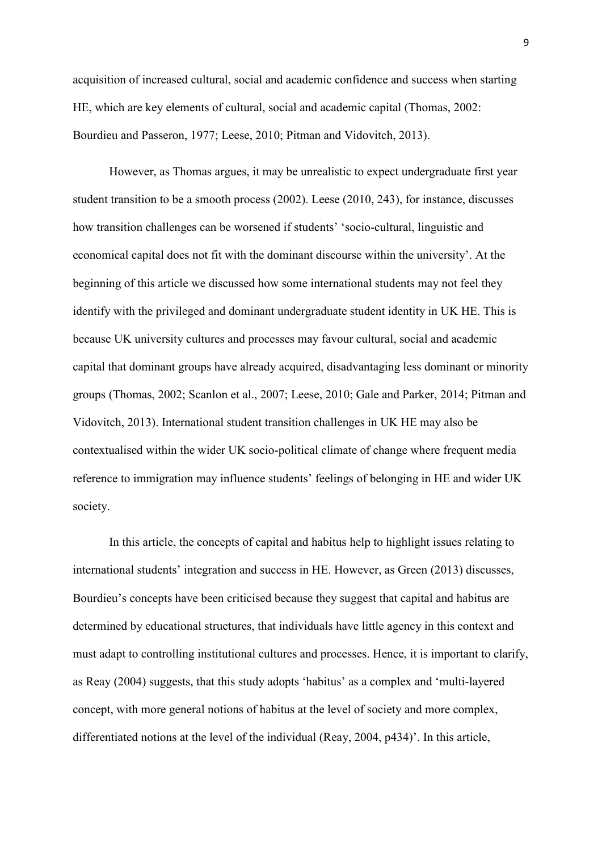acquisition of increased cultural, social and academic confidence and success when starting HE, which are key elements of cultural, social and academic capital (Thomas, 2002: Bourdieu and Passeron, 1977; Leese, 2010; Pitman and Vidovitch, 2013).

However, as Thomas argues, it may be unrealistic to expect undergraduate first year student transition to be a smooth process (2002). Leese (2010, 243), for instance, discusses how transition challenges can be worsened if students' 'socio-cultural, linguistic and economical capital does not fit with the dominant discourse within the university'. At the beginning of this article we discussed how some international students may not feel they identify with the privileged and dominant undergraduate student identity in UK HE. This is because UK university cultures and processes may favour cultural, social and academic capital that dominant groups have already acquired, disadvantaging less dominant or minority groups (Thomas, 2002; Scanlon et al., 2007; Leese, 2010; Gale and Parker, 2014; Pitman and Vidovitch, 2013). International student transition challenges in UK HE may also be contextualised within the wider UK socio-political climate of change where frequent media reference to immigration may influence students' feelings of belonging in HE and wider UK society.

In this article, the concepts of capital and habitus help to highlight issues relating to international students' integration and success in HE. However, as Green (2013) discusses, Bourdieu's concepts have been criticised because they suggest that capital and habitus are determined by educational structures, that individuals have little agency in this context and must adapt to controlling institutional cultures and processes. Hence, it is important to clarify, as Reay (2004) suggests, that this study adopts 'habitus' as a complex and 'multi-layered concept, with more general notions of habitus at the level of society and more complex, differentiated notions at the level of the individual (Reay, 2004, p434)'. In this article,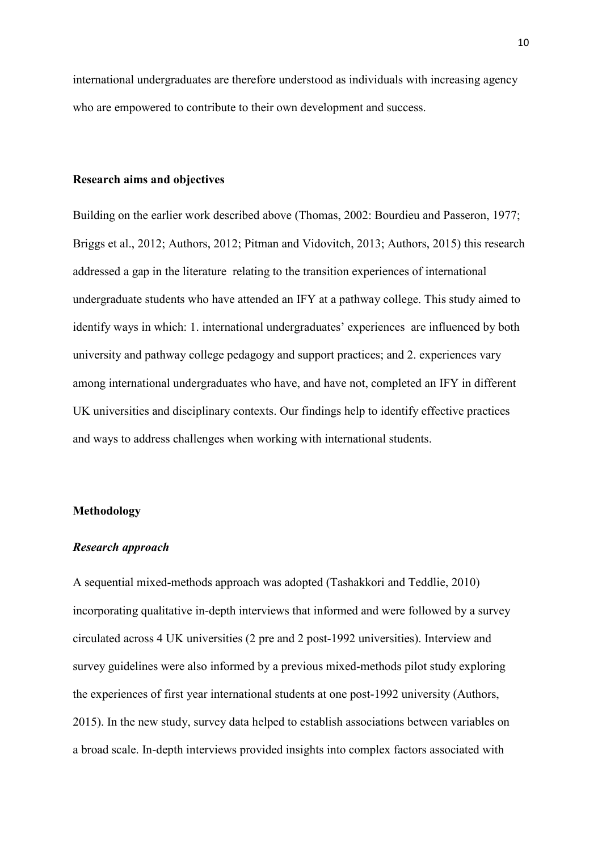international undergraduates are therefore understood as individuals with increasing agency who are empowered to contribute to their own development and success.

## **Research aims and objectives**

Building on the earlier work described above (Thomas, 2002: Bourdieu and Passeron, 1977; Briggs et al., 2012; Authors, 2012; Pitman and Vidovitch, 2013; Authors, 2015) this research addressed a gap in the literature relating to the transition experiences of international undergraduate students who have attended an IFY at a pathway college. This study aimed to identify ways in which: 1. international undergraduates' experiences are influenced by both university and pathway college pedagogy and support practices; and 2. experiences vary among international undergraduates who have, and have not, completed an IFY in different UK universities and disciplinary contexts. Our findings help to identify effective practices and ways to address challenges when working with international students.

#### **Methodology**

## *Research approach*

A sequential mixed-methods approach was adopted (Tashakkori and Teddlie, 2010) incorporating qualitative in-depth interviews that informed and were followed by a survey circulated across 4 UK universities (2 pre and 2 post-1992 universities). Interview and survey guidelines were also informed by a previous mixed-methods pilot study exploring the experiences of first year international students at one post-1992 university (Authors, 2015). In the new study, survey data helped to establish associations between variables on a broad scale. In-depth interviews provided insights into complex factors associated with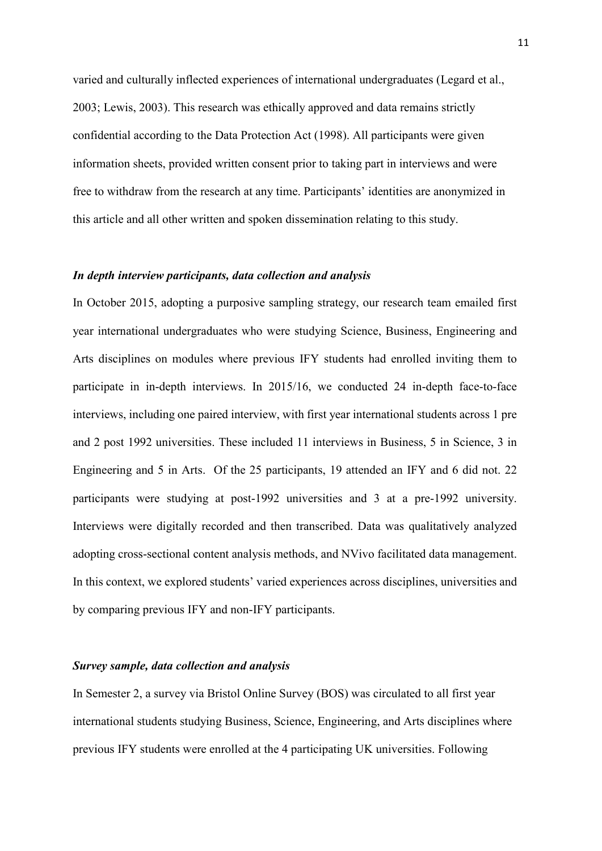varied and culturally inflected experiences of international undergraduates (Legard et al., 2003; Lewis, 2003). This research was ethically approved and data remains strictly confidential according to the Data Protection Act (1998). All participants were given information sheets, provided written consent prior to taking part in interviews and were free to withdraw from the research at any time. Participants' identities are anonymized in this article and all other written and spoken dissemination relating to this study.

### *In depth interview participants, data collection and analysis*

In October 2015, adopting a purposive sampling strategy, our research team emailed first year international undergraduates who were studying Science, Business, Engineering and Arts disciplines on modules where previous IFY students had enrolled inviting them to participate in in-depth interviews. In 2015/16, we conducted 24 in-depth face-to-face interviews, including one paired interview, with first year international students across 1 pre and 2 post 1992 universities. These included 11 interviews in Business, 5 in Science, 3 in Engineering and 5 in Arts. Of the 25 participants, 19 attended an IFY and 6 did not. 22 participants were studying at post-1992 universities and 3 at a pre-1992 university. Interviews were digitally recorded and then transcribed. Data was qualitatively analyzed adopting cross-sectional content analysis methods, and NVivo facilitated data management. In this context, we explored students' varied experiences across disciplines, universities and by comparing previous IFY and non-IFY participants.

### *Survey sample, data collection and analysis*

In Semester 2, a survey via Bristol Online Survey (BOS) was circulated to all first year international students studying Business, Science, Engineering, and Arts disciplines where previous IFY students were enrolled at the 4 participating UK universities. Following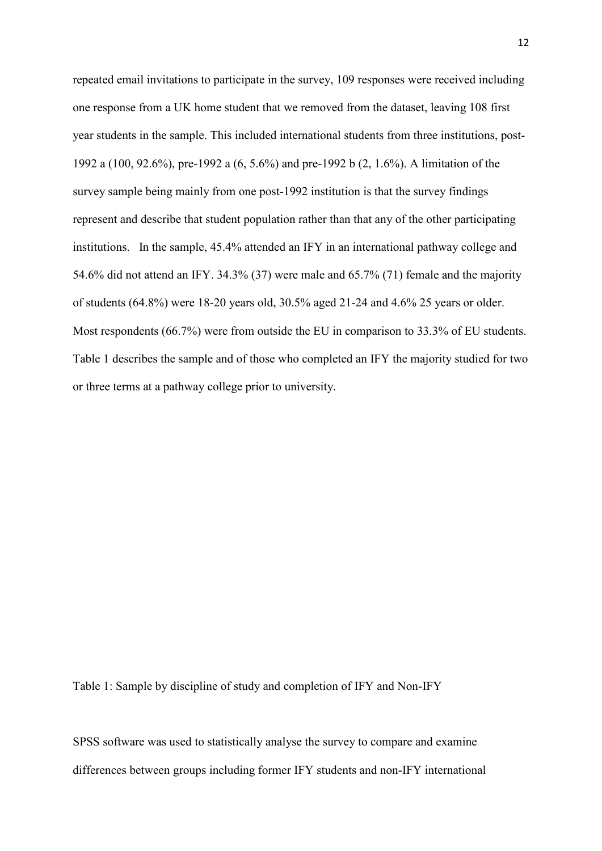repeated email invitations to participate in the survey, 109 responses were received including one response from a UK home student that we removed from the dataset, leaving 108 first year students in the sample. This included international students from three institutions, post-1992 a (100, 92.6%), pre-1992 a (6, 5.6%) and pre-1992 b (2, 1.6%). A limitation of the survey sample being mainly from one post-1992 institution is that the survey findings represent and describe that student population rather than that any of the other participating institutions. In the sample, 45.4% attended an IFY in an international pathway college and 54.6% did not attend an IFY. 34.3% (37) were male and 65.7% (71) female and the majority of students (64.8%) were 18-20 years old, 30.5% aged 21-24 and 4.6% 25 years or older. Most respondents (66.7%) were from outside the EU in comparison to 33.3% of EU students. Table 1 describes the sample and of those who completed an IFY the majority studied for two or three terms at a pathway college prior to university.

Table 1: Sample by discipline of study and completion of IFY and Non-IFY

SPSS software was used to statistically analyse the survey to compare and examine differences between groups including former IFY students and non-IFY international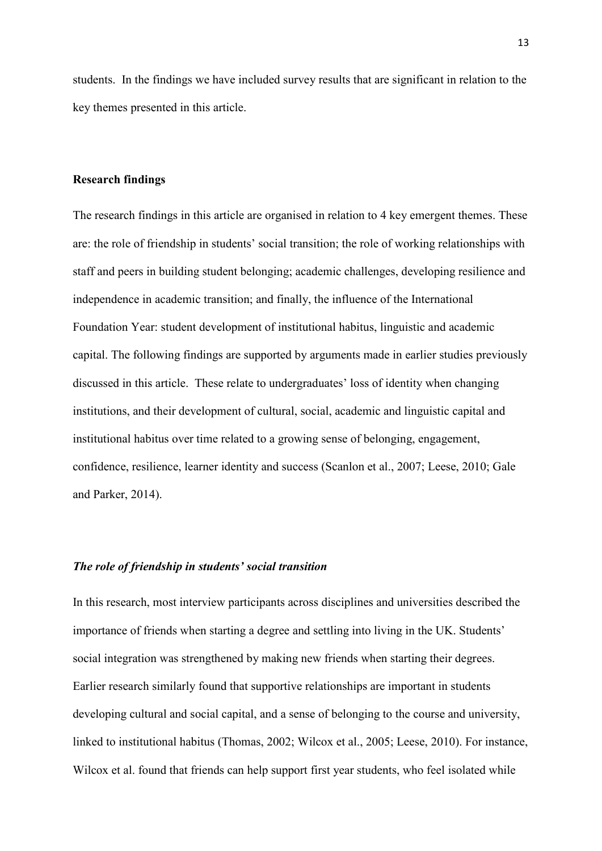students. In the findings we have included survey results that are significant in relation to the key themes presented in this article.

### **Research findings**

The research findings in this article are organised in relation to 4 key emergent themes. These are: the role of friendship in students' social transition; the role of working relationships with staff and peers in building student belonging; academic challenges, developing resilience and independence in academic transition; and finally, the influence of the International Foundation Year: student development of institutional habitus, linguistic and academic capital. The following findings are supported by arguments made in earlier studies previously discussed in this article. These relate to undergraduates' loss of identity when changing institutions, and their development of cultural, social, academic and linguistic capital and institutional habitus over time related to a growing sense of belonging, engagement, confidence, resilience, learner identity and success (Scanlon et al., 2007; Leese, 2010; Gale and Parker, 2014).

#### *The role of friendship in students' social transition*

In this research, most interview participants across disciplines and universities described the importance of friends when starting a degree and settling into living in the UK. Students' social integration was strengthened by making new friends when starting their degrees. Earlier research similarly found that supportive relationships are important in students developing cultural and social capital, and a sense of belonging to the course and university, linked to institutional habitus (Thomas, 2002; Wilcox et al., 2005; Leese, 2010). For instance, Wilcox et al. found that friends can help support first year students, who feel isolated while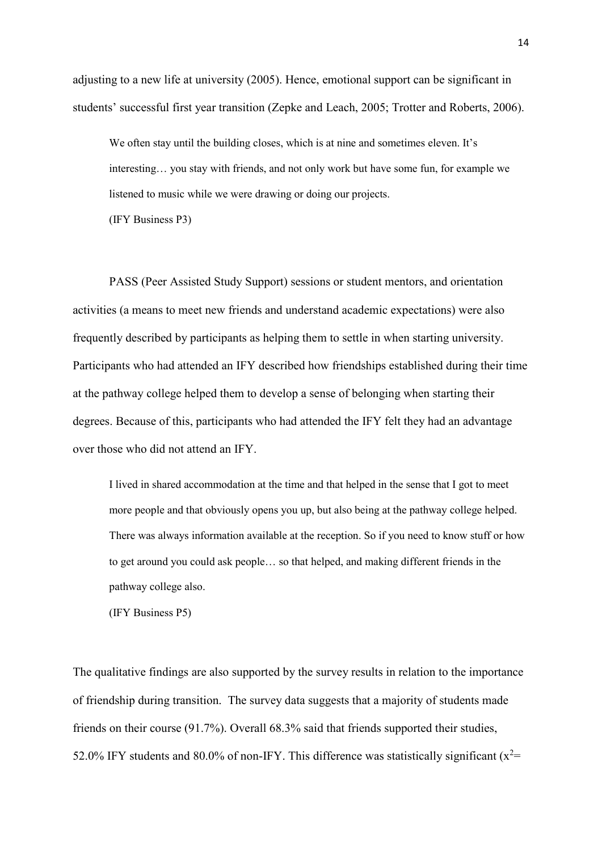adjusting to a new life at university (2005). Hence, emotional support can be significant in students' successful first year transition (Zepke and Leach, 2005; Trotter and Roberts, 2006).

We often stay until the building closes, which is at nine and sometimes eleven. It's interesting… you stay with friends, and not only work but have some fun, for example we listened to music while we were drawing or doing our projects.

(IFY Business P3)

PASS (Peer Assisted Study Support) sessions or student mentors, and orientation activities (a means to meet new friends and understand academic expectations) were also frequently described by participants as helping them to settle in when starting university. Participants who had attended an IFY described how friendships established during their time at the pathway college helped them to develop a sense of belonging when starting their degrees. Because of this, participants who had attended the IFY felt they had an advantage over those who did not attend an IFY.

I lived in shared accommodation at the time and that helped in the sense that I got to meet more people and that obviously opens you up, but also being at the pathway college helped. There was always information available at the reception. So if you need to know stuff or how to get around you could ask people… so that helped, and making different friends in the pathway college also.

(IFY Business P5)

The qualitative findings are also supported by the survey results in relation to the importance of friendship during transition. The survey data suggests that a majority of students made friends on their course (91.7%). Overall 68.3% said that friends supported their studies, 52.0% IFY students and 80.0% of non-IFY. This difference was statistically significant ( $x^2$ =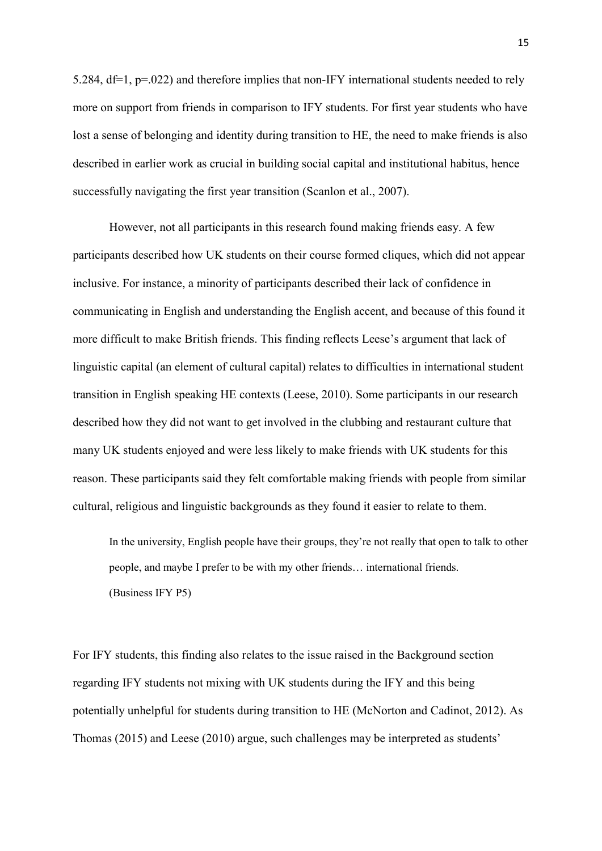5.284, df=1, p=.022) and therefore implies that non-IFY international students needed to rely more on support from friends in comparison to IFY students. For first year students who have lost a sense of belonging and identity during transition to HE, the need to make friends is also described in earlier work as crucial in building social capital and institutional habitus, hence successfully navigating the first year transition (Scanlon et al., 2007).

However, not all participants in this research found making friends easy. A few participants described how UK students on their course formed cliques, which did not appear inclusive. For instance, a minority of participants described their lack of confidence in communicating in English and understanding the English accent, and because of this found it more difficult to make British friends. This finding reflects Leese's argument that lack of linguistic capital (an element of cultural capital) relates to difficulties in international student transition in English speaking HE contexts (Leese, 2010). Some participants in our research described how they did not want to get involved in the clubbing and restaurant culture that many UK students enjoyed and were less likely to make friends with UK students for this reason. These participants said they felt comfortable making friends with people from similar cultural, religious and linguistic backgrounds as they found it easier to relate to them.

In the university, English people have their groups, they're not really that open to talk to other people, and maybe I prefer to be with my other friends… international friends. (Business IFY P5)

For IFY students, this finding also relates to the issue raised in the Background section regarding IFY students not mixing with UK students during the IFY and this being potentially unhelpful for students during transition to HE (McNorton and Cadinot, 2012). As Thomas (2015) and Leese (2010) argue, such challenges may be interpreted as students'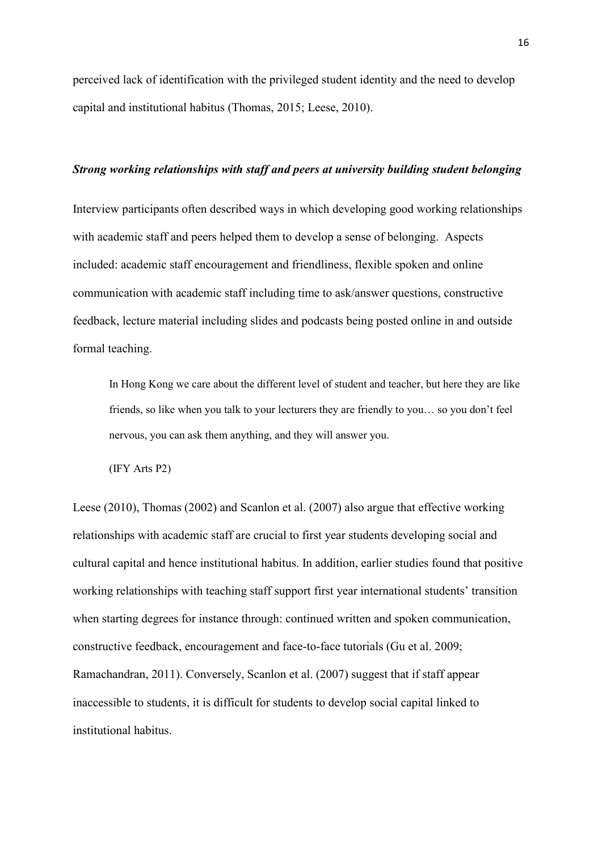perceived lack of identification with the privileged student identity and the need to develop capital and institutional habitus (Thomas, 2015; Leese, 2010).

### *Strong working relationships with staff and peers at university building student belonging*

Interview participants often described ways in which developing good working relationships with academic staff and peers helped them to develop a sense of belonging. Aspects included: academic staff encouragement and friendliness, flexible spoken and online communication with academic staff including time to ask/answer questions, constructive feedback, lecture material including slides and podcasts being posted online in and outside formal teaching.

In Hong Kong we care about the different level of student and teacher, but here they are like friends, so like when you talk to your lecturers they are friendly to you… so you don't feel nervous, you can ask them anything, and they will answer you.

(IFY Arts P2)

Leese (2010), Thomas (2002) and Scanlon et al. (2007) also argue that effective working relationships with academic staff are crucial to first year students developing social and cultural capital and hence institutional habitus. In addition, earlier studies found that positive working relationships with teaching staff support first year international students' transition when starting degrees for instance through: continued written and spoken communication, constructive feedback, encouragement and face-to-face tutorials (Gu et al. 2009; Ramachandran, 2011). Conversely, Scanlon et al. (2007) suggest that if staff appear inaccessible to students, it is difficult for students to develop social capital linked to institutional habitus.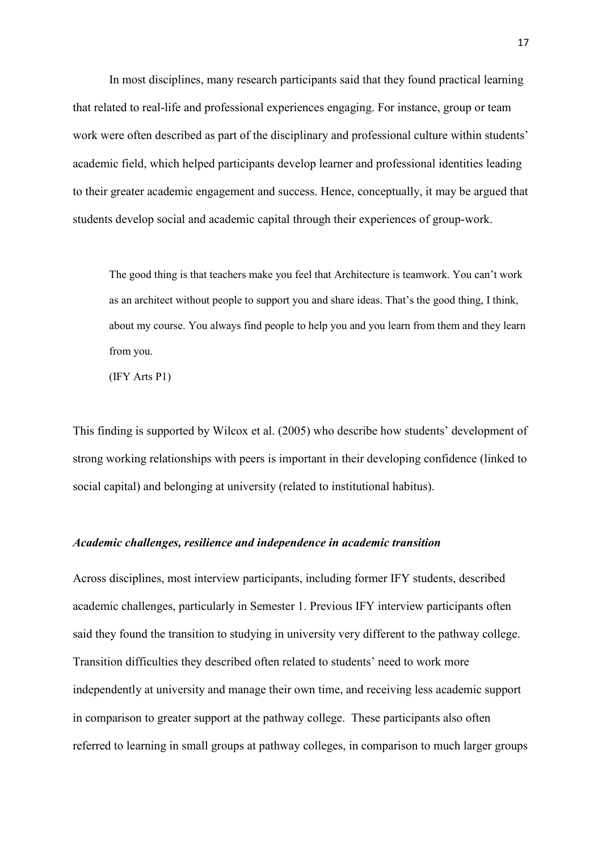In most disciplines, many research participants said that they found practical learning that related to real-life and professional experiences engaging. For instance, group or team work were often described as part of the disciplinary and professional culture within students' academic field, which helped participants develop learner and professional identities leading to their greater academic engagement and success. Hence, conceptually, it may be argued that students develop social and academic capital through their experiences of group-work.

The good thing is that teachers make you feel that Architecture is teamwork. You can't work as an architect without people to support you and share ideas. That's the good thing, I think, about my course. You always find people to help you and you learn from them and they learn from you.

(IFY Arts P1)

This finding is supported by Wilcox et al. (2005) who describe how students' development of strong working relationships with peers is important in their developing confidence (linked to social capital) and belonging at university (related to institutional habitus).

## *Academic challenges, resilience and independence in academic transition*

Across disciplines, most interview participants, including former IFY students, described academic challenges, particularly in Semester 1. Previous IFY interview participants often said they found the transition to studying in university very different to the pathway college. Transition difficulties they described often related to students' need to work more independently at university and manage their own time, and receiving less academic support in comparison to greater support at the pathway college. These participants also often referred to learning in small groups at pathway colleges, in comparison to much larger groups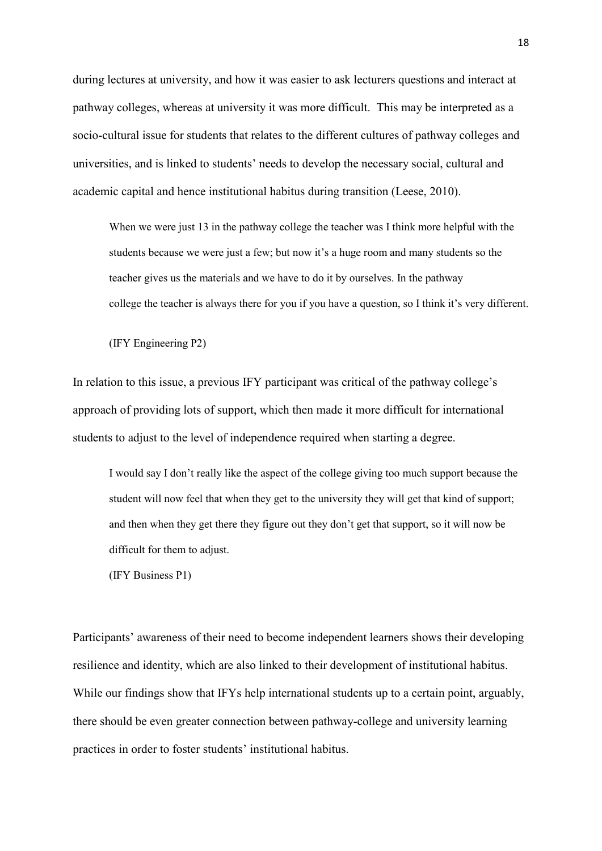during lectures at university, and how it was easier to ask lecturers questions and interact at pathway colleges, whereas at university it was more difficult. This may be interpreted as a socio-cultural issue for students that relates to the different cultures of pathway colleges and universities, and is linked to students' needs to develop the necessary social, cultural and academic capital and hence institutional habitus during transition (Leese, 2010).

When we were just 13 in the pathway college the teacher was I think more helpful with the students because we were just a few; but now it's a huge room and many students so the teacher gives us the materials and we have to do it by ourselves. In the pathway college the teacher is always there for you if you have a question, so I think it's very different.

(IFY Engineering P2)

In relation to this issue, a previous IFY participant was critical of the pathway college's approach of providing lots of support, which then made it more difficult for international students to adjust to the level of independence required when starting a degree.

I would say I don't really like the aspect of the college giving too much support because the student will now feel that when they get to the university they will get that kind of support; and then when they get there they figure out they don't get that support, so it will now be difficult for them to adjust.

(IFY Business P1)

Participants' awareness of their need to become independent learners shows their developing resilience and identity, which are also linked to their development of institutional habitus. While our findings show that IFYs help international students up to a certain point, arguably, there should be even greater connection between pathway-college and university learning practices in order to foster students' institutional habitus.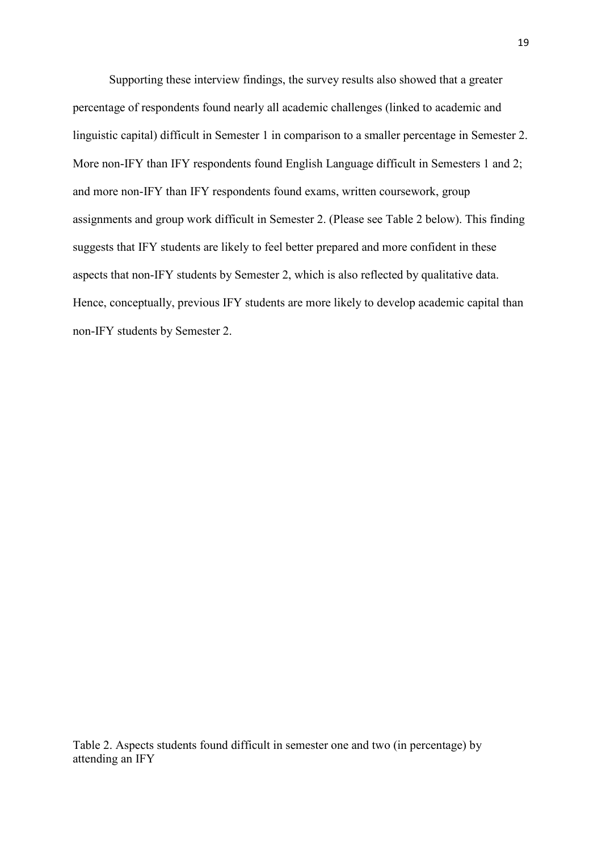Supporting these interview findings, the survey results also showed that a greater percentage of respondents found nearly all academic challenges (linked to academic and linguistic capital) difficult in Semester 1 in comparison to a smaller percentage in Semester 2. More non-IFY than IFY respondents found English Language difficult in Semesters 1 and 2; and more non-IFY than IFY respondents found exams, written coursework, group assignments and group work difficult in Semester 2. (Please see Table 2 below). This finding suggests that IFY students are likely to feel better prepared and more confident in these aspects that non-IFY students by Semester 2, which is also reflected by qualitative data. Hence, conceptually, previous IFY students are more likely to develop academic capital than non-IFY students by Semester 2.

Table 2. Aspects students found difficult in semester one and two (in percentage) by attending an IFY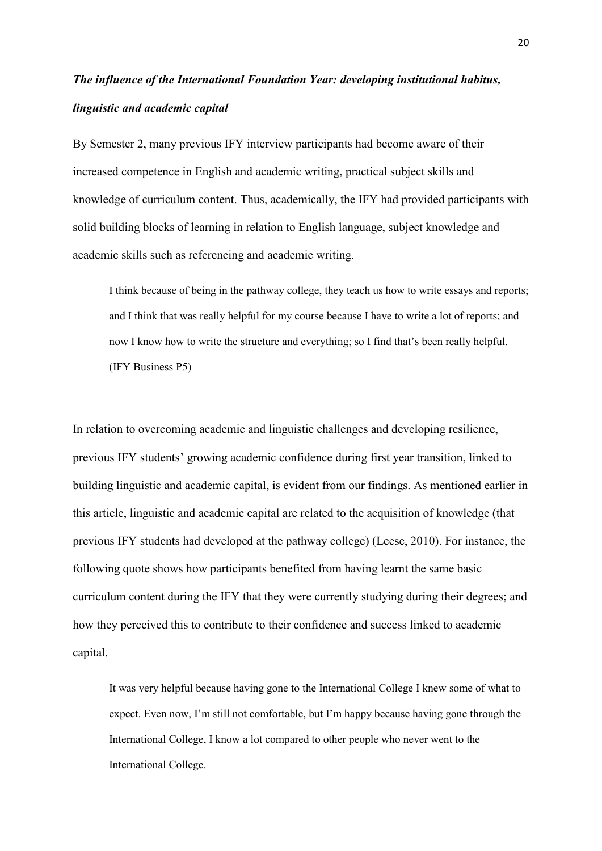# *The influence of the International Foundation Year: developing institutional habitus, linguistic and academic capital*

By Semester 2, many previous IFY interview participants had become aware of their increased competence in English and academic writing, practical subject skills and knowledge of curriculum content. Thus, academically, the IFY had provided participants with solid building blocks of learning in relation to English language, subject knowledge and academic skills such as referencing and academic writing.

I think because of being in the pathway college, they teach us how to write essays and reports; and I think that was really helpful for my course because I have to write a lot of reports; and now I know how to write the structure and everything; so I find that's been really helpful. (IFY Business P5)

In relation to overcoming academic and linguistic challenges and developing resilience, previous IFY students' growing academic confidence during first year transition, linked to building linguistic and academic capital, is evident from our findings. As mentioned earlier in this article, linguistic and academic capital are related to the acquisition of knowledge (that previous IFY students had developed at the pathway college) (Leese, 2010). For instance, the following quote shows how participants benefited from having learnt the same basic curriculum content during the IFY that they were currently studying during their degrees; and how they perceived this to contribute to their confidence and success linked to academic capital.

It was very helpful because having gone to the International College I knew some of what to expect. Even now, I'm still not comfortable, but I'm happy because having gone through the International College, I know a lot compared to other people who never went to the International College.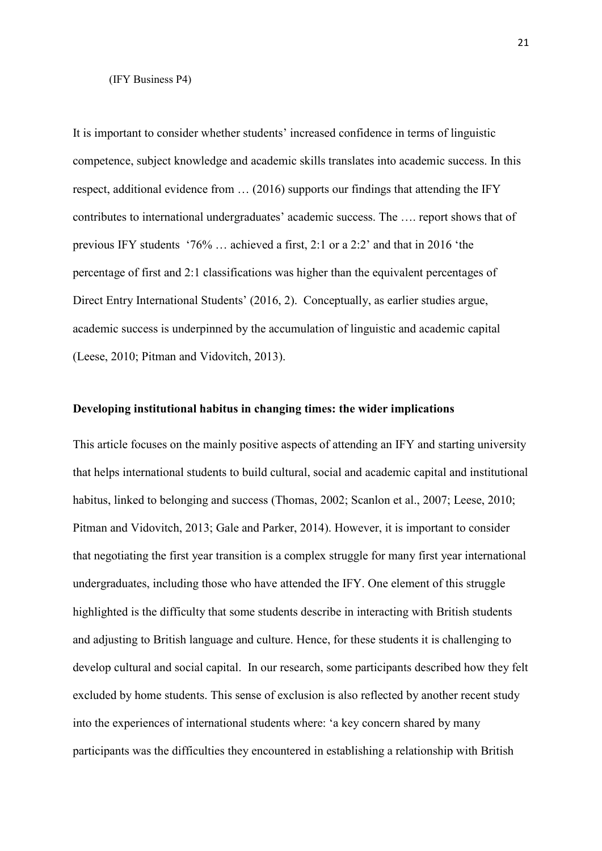#### (IFY Business P4)

It is important to consider whether students' increased confidence in terms of linguistic competence, subject knowledge and academic skills translates into academic success. In this respect, additional evidence from … (2016) supports our findings that attending the IFY contributes to international undergraduates' academic success. The …. report shows that of previous IFY students '76% … achieved a first, 2:1 or a 2:2' and that in 2016 'the percentage of first and 2:1 classifications was higher than the equivalent percentages of Direct Entry International Students' (2016, 2). Conceptually, as earlier studies argue, academic success is underpinned by the accumulation of linguistic and academic capital (Leese, 2010; Pitman and Vidovitch, 2013).

## **Developing institutional habitus in changing times: the wider implications**

This article focuses on the mainly positive aspects of attending an IFY and starting university that helps international students to build cultural, social and academic capital and institutional habitus, linked to belonging and success (Thomas, 2002; Scanlon et al., 2007; Leese, 2010; Pitman and Vidovitch, 2013; Gale and Parker, 2014). However, it is important to consider that negotiating the first year transition is a complex struggle for many first year international undergraduates, including those who have attended the IFY. One element of this struggle highlighted is the difficulty that some students describe in interacting with British students and adjusting to British language and culture. Hence, for these students it is challenging to develop cultural and social capital. In our research, some participants described how they felt excluded by home students. This sense of exclusion is also reflected by another recent study into the experiences of international students where: 'a key concern shared by many participants was the difficulties they encountered in establishing a relationship with British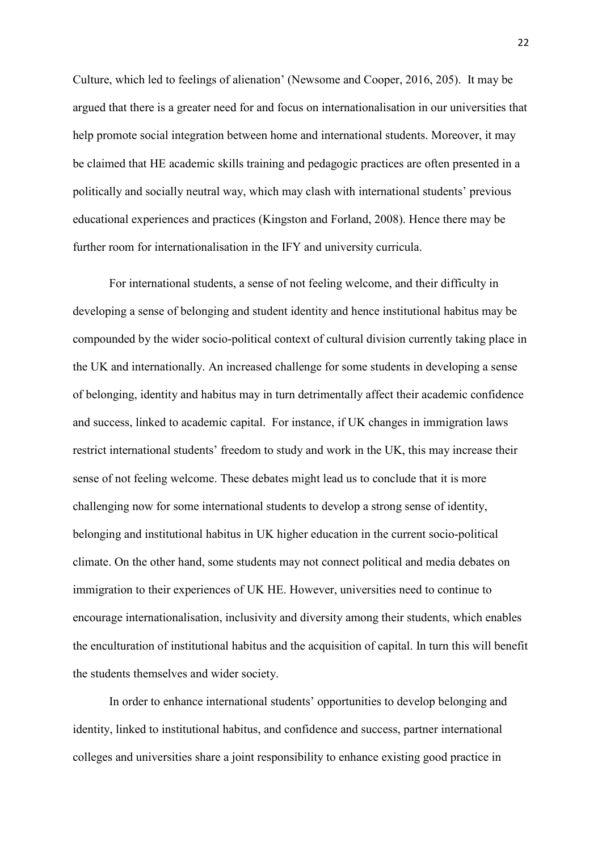Culture, which led to feelings of alienation' (Newsome and Cooper, 2016, 205). It may be argued that there is a greater need for and focus on internationalisation in our universities that help promote social integration between home and international students. Moreover, it may be claimed that HE academic skills training and pedagogic practices are often presented in a politically and socially neutral way, which may clash with international students' previous educational experiences and practices (Kingston and Forland, 2008). Hence there may be further room for internationalisation in the IFY and university curricula.

For international students, a sense of not feeling welcome, and their difficulty in developing a sense of belonging and student identity and hence institutional habitus may be compounded by the wider socio-political context of cultural division currently taking place in the UK and internationally. An increased challenge for some students in developing a sense of belonging, identity and habitus may in turn detrimentally affect their academic confidence and success, linked to academic capital. For instance, if UK changes in immigration laws restrict international students' freedom to study and work in the UK, this may increase their sense of not feeling welcome. These debates might lead us to conclude that it is more challenging now for some international students to develop a strong sense of identity, belonging and institutional habitus in UK higher education in the current socio-political climate. On the other hand, some students may not connect political and media debates on immigration to their experiences of UK HE. However, universities need to continue to encourage internationalisation, inclusivity and diversity among their students, which enables the enculturation of institutional habitus and the acquisition of capital. In turn this will benefit the students themselves and wider society.

In order to enhance international students' opportunities to develop belonging and identity, linked to institutional habitus, and confidence and success, partner international colleges and universities share a joint responsibility to enhance existing good practice in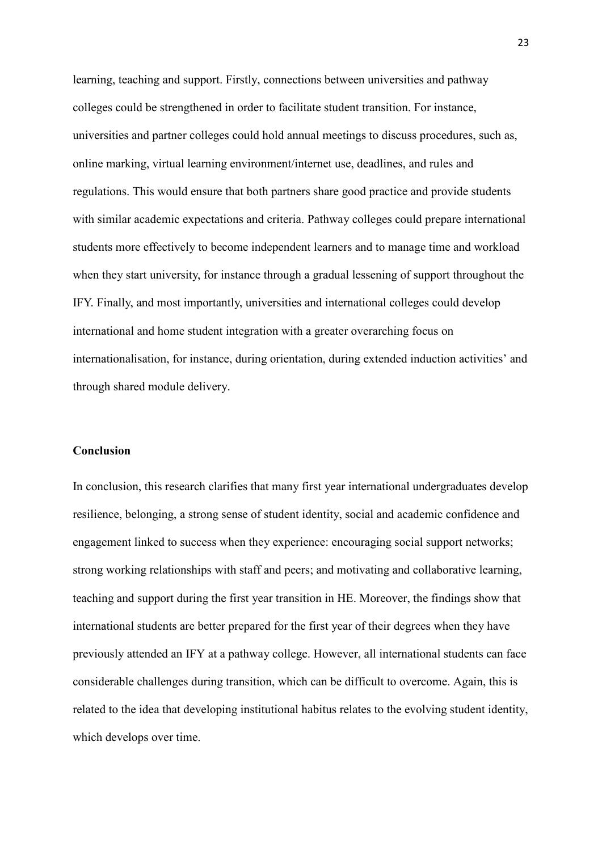learning, teaching and support. Firstly, connections between universities and pathway colleges could be strengthened in order to facilitate student transition. For instance, universities and partner colleges could hold annual meetings to discuss procedures, such as, online marking, virtual learning environment/internet use, deadlines, and rules and regulations. This would ensure that both partners share good practice and provide students with similar academic expectations and criteria. Pathway colleges could prepare international students more effectively to become independent learners and to manage time and workload when they start university, for instance through a gradual lessening of support throughout the IFY. Finally, and most importantly, universities and international colleges could develop international and home student integration with a greater overarching focus on internationalisation, for instance, during orientation, during extended induction activities' and through shared module delivery.

## **Conclusion**

In conclusion, this research clarifies that many first year international undergraduates develop resilience, belonging, a strong sense of student identity, social and academic confidence and engagement linked to success when they experience: encouraging social support networks; strong working relationships with staff and peers; and motivating and collaborative learning, teaching and support during the first year transition in HE. Moreover, the findings show that international students are better prepared for the first year of their degrees when they have previously attended an IFY at a pathway college. However, all international students can face considerable challenges during transition, which can be difficult to overcome. Again, this is related to the idea that developing institutional habitus relates to the evolving student identity, which develops over time.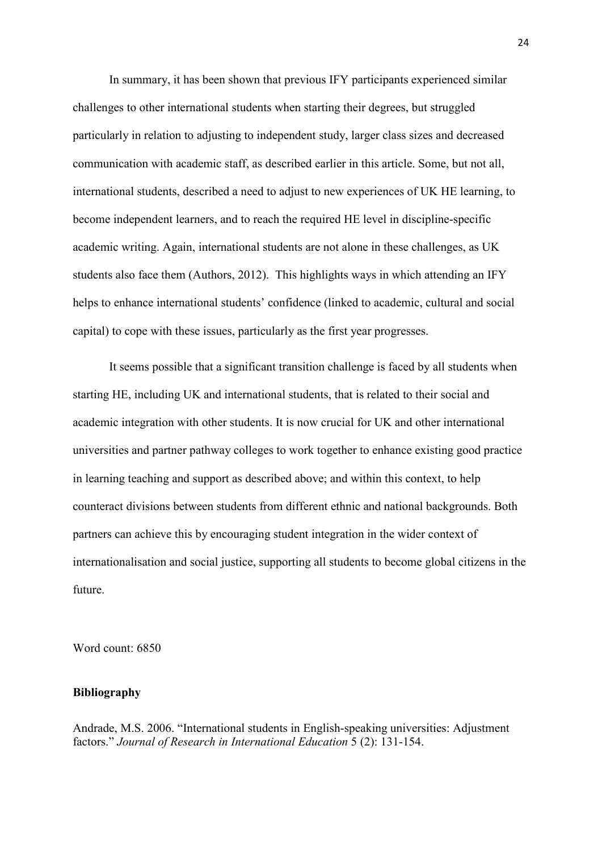In summary, it has been shown that previous IFY participants experienced similar challenges to other international students when starting their degrees, but struggled particularly in relation to adjusting to independent study, larger class sizes and decreased communication with academic staff, as described earlier in this article. Some, but not all, international students, described a need to adjust to new experiences of UK HE learning, to become independent learners, and to reach the required HE level in discipline-specific academic writing. Again, international students are not alone in these challenges, as UK students also face them (Authors, 2012). This highlights ways in which attending an IFY helps to enhance international students' confidence (linked to academic, cultural and social capital) to cope with these issues, particularly as the first year progresses.

It seems possible that a significant transition challenge is faced by all students when starting HE, including UK and international students, that is related to their social and academic integration with other students. It is now crucial for UK and other international universities and partner pathway colleges to work together to enhance existing good practice in learning teaching and support as described above; and within this context, to help counteract divisions between students from different ethnic and national backgrounds. Both partners can achieve this by encouraging student integration in the wider context of internationalisation and social justice, supporting all students to become global citizens in the future.

Word count: 6850

## **Bibliography**

Andrade, M.S. 2006. "International students in English-speaking universities: Adjustment factors." *Journal of Research in International Education* 5 (2): 131-154.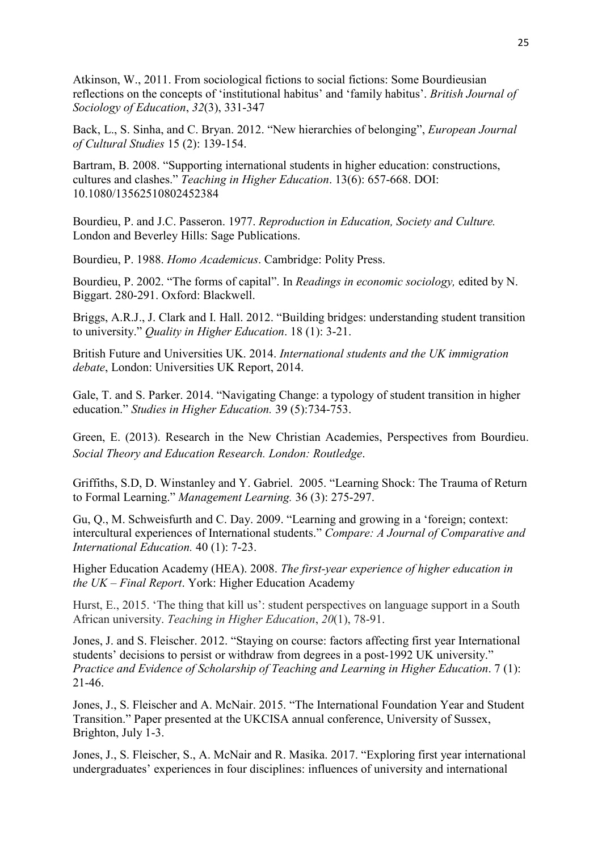Atkinson, W., 2011. From sociological fictions to social fictions: Some Bourdieusian reflections on the concepts of 'institutional habitus' and 'family habitus'. *British Journal of Sociology of Education*, *32*(3), 331-347

Back, L., S. Sinha, and C. Bryan. 2012. "New hierarchies of belonging", *European Journal of Cultural Studies* 15 (2): 139-154.

Bartram, B. 2008. "Supporting international students in higher education: constructions, cultures and clashes." *Teaching in Higher Education*. 13(6): 657-668. DOI: 10.1080/13562510802452384

Bourdieu, P. and J.C. Passeron. 1977. *Reproduction in Education, Society and Culture.*  London and Beverley Hills: Sage Publications.

Bourdieu, P. 1988. *Homo Academicus*. Cambridge: Polity Press.

Bourdieu, P. 2002. "The forms of capital". In *Readings in economic sociology,* edited by N. Biggart. 280-291. Oxford: Blackwell.

Briggs, A.R.J., J. Clark and I. Hall. 2012. "Building bridges: understanding student transition to university." *Quality in Higher Education*. 18 (1): 3-21.

British Future and Universities UK. 2014. *International students and the UK immigration debate*, London: Universities UK Report, 2014.

Gale, T. and S. Parker. 2014. "Navigating Change: a typology of student transition in higher education." *Studies in Higher Education.* 39 (5):734-753.

Green, E. (2013). Research in the New Christian Academies, Perspectives from Bourdieu. *Social Theory and Education Research. London: Routledge*.

Griffiths, S.D, D. Winstanley and Y. Gabriel. 2005. "Learning Shock: The Trauma of Return to Formal Learning." *Management Learning.* 36 (3): 275-297.

Gu, Q., M. Schweisfurth and C. Day. 2009. "Learning and growing in a 'foreign; context: intercultural experiences of International students." *Compare: A Journal of Comparative and International Education.* 40 (1): 7-23.

Higher Education Academy (HEA). 2008. *The first-year experience of higher education in the UK – Final Report*. York: Higher Education Academy

Hurst, E., 2015. 'The thing that kill us': student perspectives on language support in a South African university. *Teaching in Higher Education*, *20*(1), 78-91.

Jones, J. and S. Fleischer. 2012. "Staying on course: factors affecting first year International students' decisions to persist or withdraw from degrees in a post-1992 UK university." *Practice and Evidence of Scholarship of Teaching and Learning in Higher Education*. 7 (1): 21-46.

Jones, J., S. Fleischer and A. McNair. 2015. "The International Foundation Year and Student Transition." Paper presented at the UKCISA annual conference, University of Sussex, Brighton, July 1-3.

Jones, J., S. Fleischer, S., A. McNair and R. Masika. 2017. "Exploring first year international undergraduates' experiences in four disciplines: influences of university and international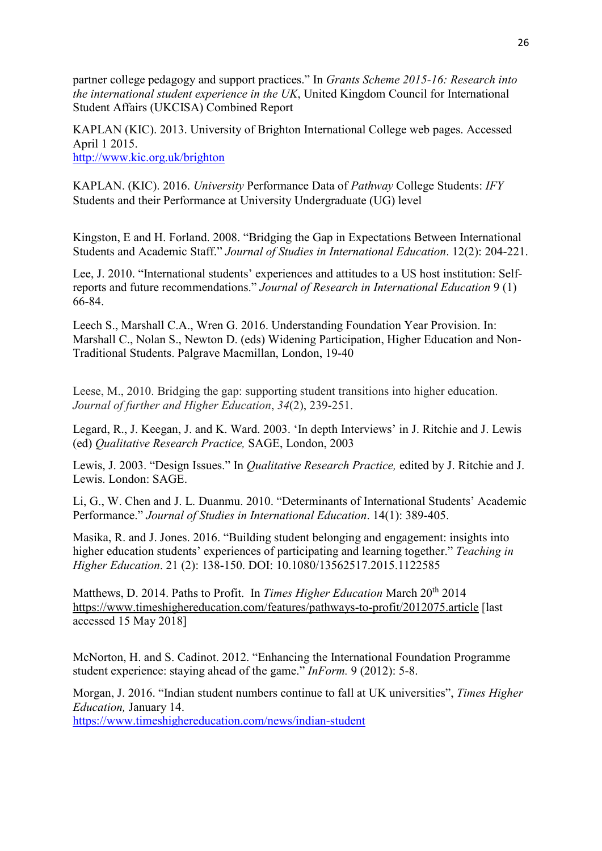partner college pedagogy and support practices." In *Grants Scheme 2015-16: Research into the international student experience in the UK*, United Kingdom Council for International Student Affairs (UKCISA) Combined Report

KAPLAN (KIC). 2013. University of Brighton International College web pages. Accessed April 1 2015. <http://www.kic.org.uk/brighton>

KAPLAN. (KIC). 2016. *University* Performance Data of *Pathway* College Students: *IFY*  Students and their Performance at University Undergraduate (UG) level

Kingston, E and H. Forland. 2008. "Bridging the Gap in Expectations Between International Students and Academic Staff." *Journal of Studies in International Education*. 12(2): 204-221.

Lee, J. 2010. "International students' experiences and attitudes to a US host institution: Selfreports and future recommendations." *Journal of Research in International Education* 9 (1) 66-84.

Leech S., Marshall C.A., Wren G. 2016. Understanding Foundation Year Provision. In: Marshall C., Nolan S., Newton D. (eds) Widening Participation, Higher Education and Non-Traditional Students. Palgrave Macmillan, London, 19-40

Leese, M., 2010. Bridging the gap: supporting student transitions into higher education. *Journal of further and Higher Education*, *34*(2), 239-251.

Legard, R., J. Keegan, J. and K. Ward. 2003. 'In depth Interviews' in J. Ritchie and J. Lewis (ed) *Qualitative Research Practice,* SAGE, London, 2003

Lewis, J. 2003. "Design Issues." In *Qualitative Research Practice,* edited by J. Ritchie and J. Lewis. London: SAGE.

Li, G., W. Chen and J. L. Duanmu. 2010. "Determinants of International Students' Academic Performance." *Journal of Studies in International Education*. 14(1): 389-405.

Masika, R. and J. Jones. 2016. "Building student belonging and engagement: insights into higher education students' experiences of participating and learning together." *Teaching in Higher Education*. 21 (2): 138-150. DOI: 10.1080/13562517.2015.1122585

Matthews, D. 2014. Paths to Profit. In *Times Higher Education* March 20th 2014 [https://www.timeshighereducation.com/features/pathways-to-profit/2012075.article](https://staffmail.brighton.ac.uk/owa/redir.aspx?REF=qB-zN4DTmMfkEhypYfnoDgfHbT5mbstBzdRyeZ490egfk1hHdbrVCAFodHRwczovL3d3dy50aW1lc2hpZ2hlcmVkdWNhdGlvbi5jb20vZmVhdHVyZXMvcGF0aHdheXMtdG8tcHJvZml0LzIwMTIwNzUuYXJ0aWNsZQ..) [last accessed 15 May 2018]

McNorton, H. and S. Cadinot. 2012. "Enhancing the International Foundation Programme student experience: staying ahead of the game." *InForm.* 9 (2012): 5-8.

Morgan, J. 2016. "Indian student numbers continue to fall at UK universities", *Times Higher Education,* January 14.

<https://www.timeshighereducation.com/news/indian-student>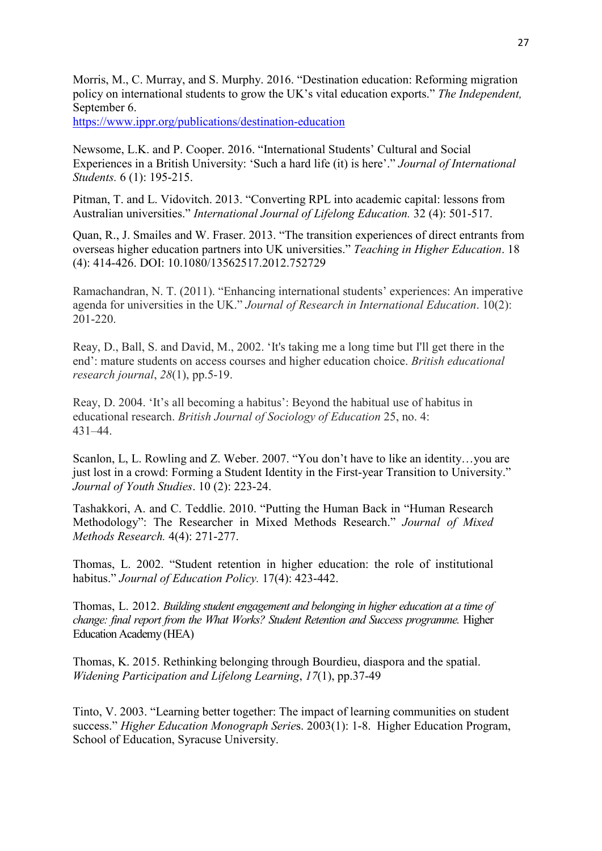Morris, M., C. Murray, and S. Murphy. 2016. "Destination education: Reforming migration policy on international students to grow the UK's vital education exports." *The Independent,* September 6.

<https://www.ippr.org/publications/destination-education>

Newsome, L.K. and P. Cooper. 2016. "International Students' Cultural and Social Experiences in a British University: 'Such a hard life (it) is here'." *Journal of International Students.* 6 (1): 195-215.

Pitman, T. and L. Vidovitch. 2013. "Converting RPL into academic capital: lessons from Australian universities." *International Journal of Lifelong Education.* 32 (4): 501-517.

Quan, R., J. Smailes and W. Fraser. 2013. "The transition experiences of direct entrants from overseas higher education partners into UK universities." *Teaching in Higher Education*. 18 (4): 414-426. DOI: 10.1080/13562517.2012.752729

Ramachandran, N. T. (2011). "Enhancing international students' experiences: An imperative agenda for universities in the UK." *Journal of Research in International Education*. 10(2): 201-220.

Reay, D., Ball, S. and David, M., 2002. 'It's taking me a long time but I'll get there in the end': mature students on access courses and higher education choice. *British educational research journal*, *28*(1), pp.5-19.

Reay, D. 2004. 'It's all becoming a habitus': Beyond the habitual use of habitus in educational research. *British Journal of Sociology of Education* 25, no. 4: 431–44.

Scanlon, L, L. Rowling and Z. Weber. 2007. "You don't have to like an identity…you are just lost in a crowd: Forming a Student Identity in the First-year Transition to University." *Journal of Youth Studies*. 10 (2): 223-24.

Tashakkori, A. and C. Teddlie. 2010. "Putting the Human Back in "Human Research Methodology": The Researcher in Mixed Methods Research." *Journal of Mixed Methods Research.* 4(4): 271-277.

Thomas, L. 2002. "Student retention in higher education: the role of institutional habitus." *Journal of Education Policy.* 17(4): 423-442.

Thomas, L. 2012. *Building student engagement and belonging in higher education at a time of change: final report from the What Works? Student Retention and Success programme. Higher* Education Academy (HEA)

Thomas, K. 2015. Rethinking belonging through Bourdieu, diaspora and the spatial. *Widening Participation and Lifelong Learning*, *17*(1), pp.37-49

Tinto, V. 2003. "Learning better together: The impact of learning communities on student success." *Higher Education Monograph Serie*s. 2003(1): 1-8. Higher Education Program, School of Education, Syracuse University.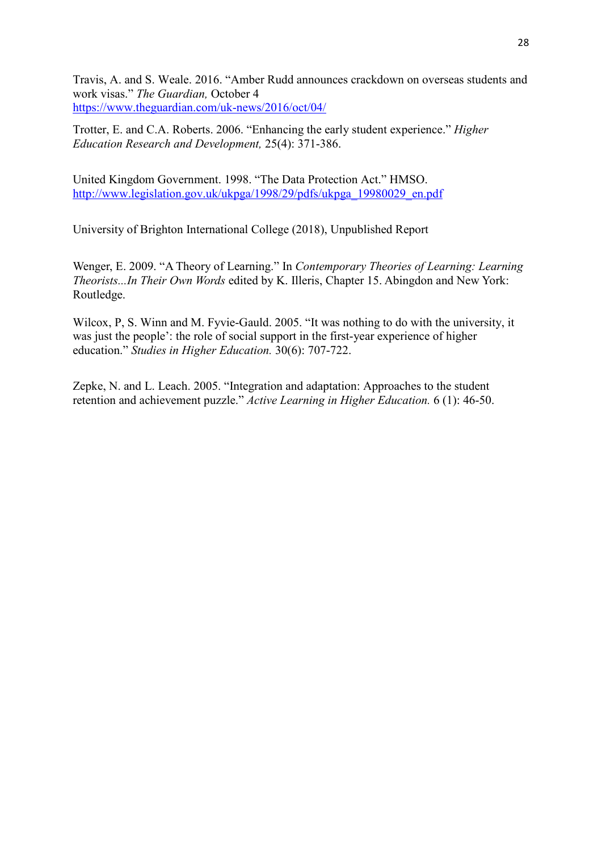Travis, A. and S. Weale. 2016. "Amber Rudd announces crackdown on overseas students and work visas." *The Guardian,* October 4 <https://www.theguardian.com/uk-news/2016/oct/04/>

Trotter, E. and C.A. Roberts. 2006. "Enhancing the early student experience." *Higher Education Research and Development,* 25(4): 371-386.

United Kingdom Government. 1998. "The Data Protection Act." HMSO. [http://www.legislation.gov.uk/ukpga/1998/29/pdfs/ukpga\\_19980029\\_en.pdf](http://www.legislation.gov.uk/ukpga/1998/29/pdfs/ukpga_19980029_en.pdf)

University of Brighton International College (2018), Unpublished Report

Wenger, E. 2009. "A Theory of Learning." In *Contemporary Theories of Learning: Learning Theorists...In Their Own Words* edited by K. Illeris, Chapter 15. Abingdon and New York: Routledge.

Wilcox, P, S. Winn and M. Fyvie-Gauld. 2005. "It was nothing to do with the university, it was just the people': the role of social support in the first-year experience of higher education." *Studies in Higher Education.* 30(6): 707-722.

Zepke, N. and L. Leach. 2005. "Integration and adaptation: Approaches to the student retention and achievement puzzle." *Active Learning in Higher Education.* 6 (1): 46-50.